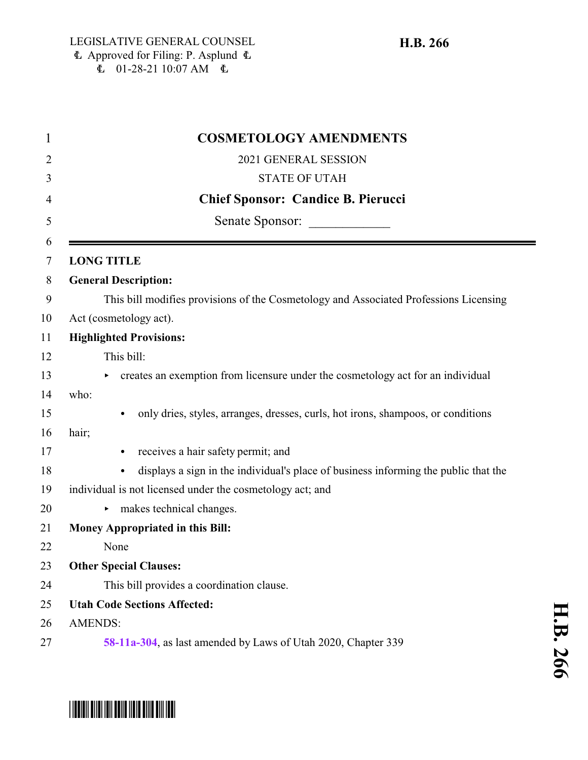| $\mathbf 1$ | <b>COSMETOLOGY AMENDMENTS</b>                                                                    |
|-------------|--------------------------------------------------------------------------------------------------|
| 2           | 2021 GENERAL SESSION                                                                             |
| 3           | <b>STATE OF UTAH</b>                                                                             |
| 4           | <b>Chief Sponsor: Candice B. Pierucci</b>                                                        |
| 5           | Senate Sponsor:                                                                                  |
| 6<br>7      | <b>LONG TITLE</b>                                                                                |
| 8           | <b>General Description:</b>                                                                      |
| 9           | This bill modifies provisions of the Cosmetology and Associated Professions Licensing            |
| 10          | Act (cosmetology act).                                                                           |
|             | <b>Highlighted Provisions:</b>                                                                   |
| 12          | This bill:                                                                                       |
|             | creates an exemption from licensure under the cosmetology act for an individual                  |
| 14          | who:                                                                                             |
|             | only dries, styles, arranges, dresses, curls, hot irons, shampoos, or conditions<br>$\bullet$    |
| 16          | hair;                                                                                            |
|             | receives a hair safety permit; and<br>$\bullet$                                                  |
|             | displays a sign in the individual's place of business informing the public that the<br>$\bullet$ |
| 19          | individual is not licensed under the cosmetology act; and                                        |
|             | makes technical changes.                                                                         |
| 21          | <b>Money Appropriated in this Bill:</b>                                                          |
| 22          | None                                                                                             |
| 23          | <b>Other Special Clauses:</b>                                                                    |
| 24          | This bill provides a coordination clause.                                                        |
| 25          | <b>Utah Code Sections Affected:</b>                                                              |
| 26          | <b>AMENDS:</b>                                                                                   |
|             | 58-11a-304, as last amended by Laws of Utah 2020, Chapter 339                                    |

## \*HB0266\*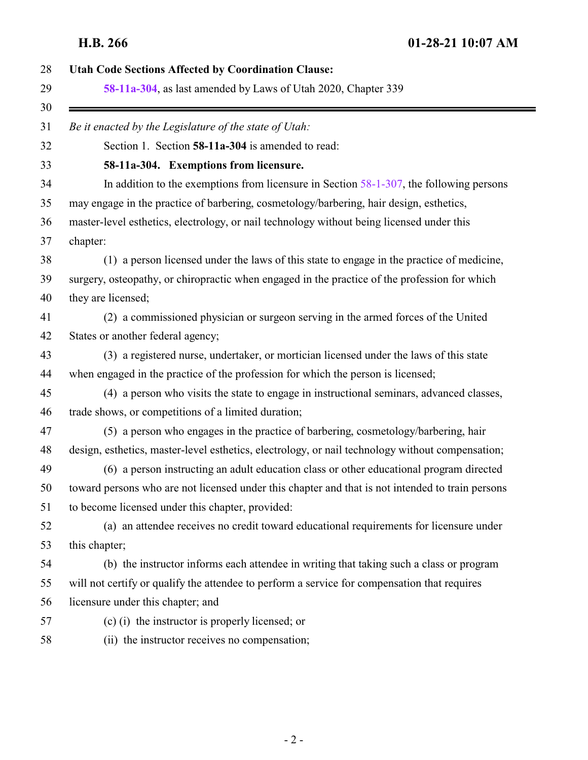<span id="page-1-0"></span>

| <b>Utah Code Sections Affected by Coordination Clause:</b>                                       |
|--------------------------------------------------------------------------------------------------|
| 58-11a-304, as last amended by Laws of Utah 2020, Chapter 339                                    |
| Be it enacted by the Legislature of the state of Utah:                                           |
| Section 1. Section 58-11a-304 is amended to read:                                                |
| 58-11a-304. Exemptions from licensure.                                                           |
| In addition to the exemptions from licensure in Section $58-1-307$ , the following persons       |
| may engage in the practice of barbering, cosmetology/barbering, hair design, esthetics,          |
| master-level esthetics, electrology, or nail technology without being licensed under this        |
| chapter:                                                                                         |
| (1) a person licensed under the laws of this state to engage in the practice of medicine,        |
| surgery, osteopathy, or chiropractic when engaged in the practice of the profession for which    |
| they are licensed;                                                                               |
| (2) a commissioned physician or surgeon serving in the armed forces of the United                |
| States or another federal agency;                                                                |
| (3) a registered nurse, undertaker, or mortician licensed under the laws of this state           |
| when engaged in the practice of the profession for which the person is licensed;                 |
| (4) a person who visits the state to engage in instructional seminars, advanced classes,         |
| trade shows, or competitions of a limited duration;                                              |
| (5) a person who engages in the practice of barbering, cosmetology/barbering, hair               |
| design, esthetics, master-level esthetics, electrology, or nail technology without compensation; |
| (6) a person instructing an adult education class or other educational program directed          |
| toward persons who are not licensed under this chapter and that is not intended to train persons |
| to become licensed under this chapter, provided:                                                 |
| (a) an attendee receives no credit toward educational requirements for licensure under           |
| this chapter;                                                                                    |
| (b) the instructor informs each attendee in writing that taking such a class or program          |
| will not certify or qualify the attendee to perform a service for compensation that requires     |
| licensure under this chapter; and                                                                |
| (c) (i) the instructor is properly licensed; or                                                  |
| (ii) the instructor receives no compensation;                                                    |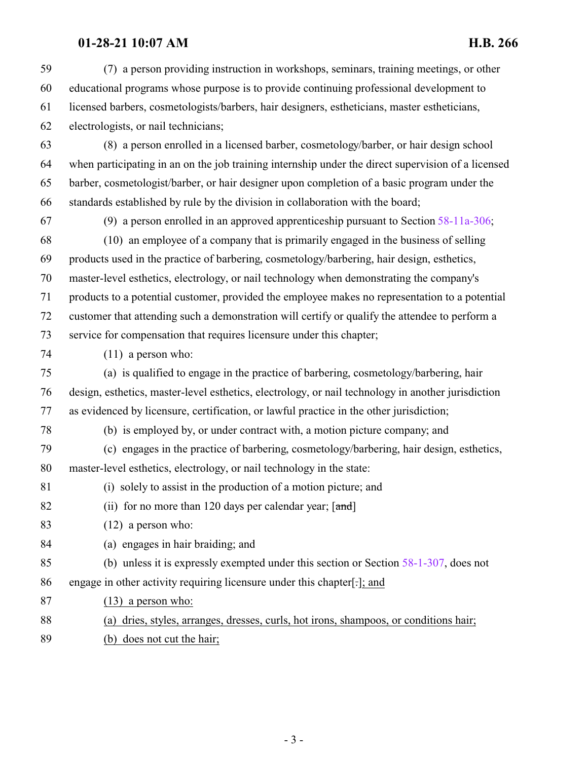## **01-28-21 10:07 AM H.B. 266**

 (7) a person providing instruction in workshops, seminars, training meetings, or other educational programs whose purpose is to provide continuing professional development to licensed barbers, cosmetologists/barbers, hair designers, estheticians, master estheticians, electrologists, or nail technicians;

 (8) a person enrolled in a licensed barber, cosmetology/barber, or hair design school when participating in an on the job training internship under the direct supervision of a licensed barber, cosmetologist/barber, or hair designer upon completion of a basic program under the standards established by rule by the division in collaboration with the board;

(9) a person enrolled in an approved apprenticeship pursuant to Section [58-11a-306](http://le.utah.gov/UtahCode/SectionLookup.jsp?section=58-11a-306&session=2021GS);

 (10) an employee of a company that is primarily engaged in the business of selling products used in the practice of barbering, cosmetology/barbering, hair design, esthetics, master-level esthetics, electrology, or nail technology when demonstrating the company's products to a potential customer, provided the employee makes no representation to a potential customer that attending such a demonstration will certify or qualify the attendee to perform a service for compensation that requires licensure under this chapter;

(11) a person who:

 (a) is qualified to engage in the practice of barbering, cosmetology/barbering, hair design, esthetics, master-level esthetics, electrology, or nail technology in another jurisdiction as evidenced by licensure, certification, or lawful practice in the other jurisdiction;

(b) is employed by, or under contract with, a motion picture company; and

- (c) engages in the practice of barbering, cosmetology/barbering, hair design, esthetics, master-level esthetics, electrology, or nail technology in the state:
- (i) solely to assist in the production of a motion picture; and
- 82 (ii) for no more than 120 days per calendar year; [and]
- (12) a person who:
- (a) engages in hair braiding; and
- (b) unless it is expressly exempted under this section or Section [58-1-307](http://le.utah.gov/UtahCode/SectionLookup.jsp?section=58-1-307&session=2021GS), does not engage in other activity requiring licensure under this chapter[.]; and
- (13) a person who:
- (a) dries, styles, arranges, dresses, curls, hot irons, shampoos, or conditions hair;
- (b) does not cut the hair;